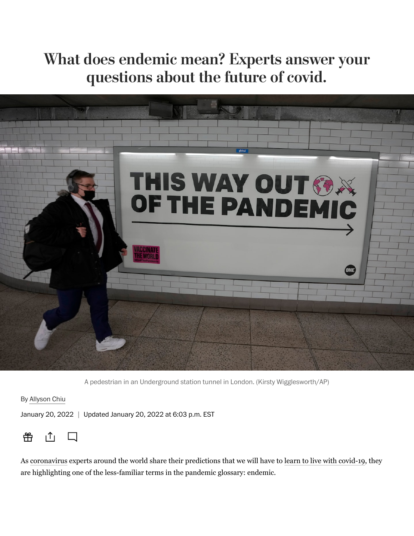# What does endemic mean? Experts answer your questions about the future of covid.



A pedestrian in an Underground station tunnel in London. (Kirsty Wigglesworth/AP)

By [Allyson Chiu](https://www.washingtonpost.com/people/allyson-chiu/)

January 20, 2022 | Updated January 20, 2022 at 6:03 p.m. EST



As [coronavirus](https://www.washingtonpost.com/coronavirus/?itid=lk_inline_manual_2) experts around the world share their predictions that we will have to [learn to live with covid-19](https://www.washingtonpost.com/health/2022/01/15/living-with-the-virus/?itid=lk_inline_manual_2), they are highlighting one of the less-familiar terms in the pandemic glossary: endemic.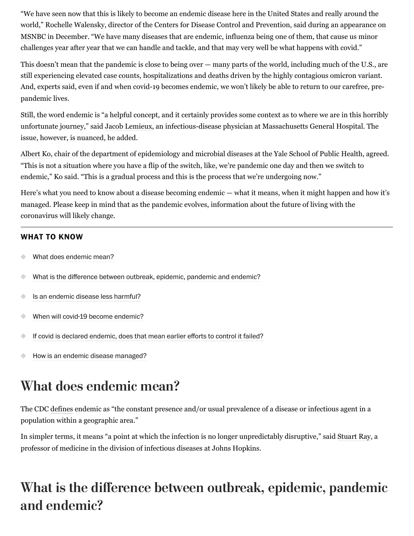"We have seen now that this is likely to become an endemic disease here in the United States and really around the [world," Rochelle Walensky, director of the Centers for Disease Control and Prevention, said during an appearance on](https://www.youtube.com/watch?v=Z2RxCosAKYk) MSNBC in December. "We have many diseases that are endemic, influenza being one of them, that cause us minor challenges year after year that we can handle and tackle, and that may very well be what happens with covid."

This doesn't mean that the pandemic is close to being over — [many parts of the world,](https://www.washingtonpost.com/graphics/2020/world/mapping-spread-new-coronavirus/?itid=lk_inline_manual_5) including much of the U.S., are still experiencing [elevated case counts, hospitalizations and deaths](https://www.washingtonpost.com/graphics/2020/national/coronavirus-us-cases-deaths/?state=US&itid=lk_inline_manual_5) driven by the highly contagious omicron variant. And, experts said, even if and when covid-19 becomes endemic, we won't likely be able to return to our carefree, prepandemic lives.

Still, the word endemic is "a helpful concept, and it certainly provides some context as to where we are in this horribly unfortunate journey," said [Jacob Lemieux,](https://www.massgeneral.org/doctors/20976/jacob-lemieux) an infectious-disease physician at Massachusetts General Hospital. The issue, however, is nuanced, he added.

[Albert Ko](https://ysph.yale.edu/profile/albert_ko/), chair of the department of epidemiology and microbial diseases at the Yale School of Public Health, agreed. "This is not a situation where you have a flip of the switch, like, we're pandemic one day and then we switch to endemic," Ko said. "This is a gradual process and this is the process that we're undergoing now."

Here's what you need to know about a disease becoming endemic — what it means, when it might happen and how it's managed. Please keep in mind that as the pandemic evolves, information about the future of living with the coronavirus will likely change.

#### **WHAT TO KNOW**

- [What does endemic mean?](#page-1-0)
- $\bullet$ [What is the difference between outbreak, epidemic, pandemic and endemic?](#page-1-1)
- [Is an endemic disease less harmful?](#page-2-0)
- [When will covid-19 become endemic?](#page-2-1)
- [If covid is declared endemic, does that mean earlier efforts to control it failed?](#page-3-0)  $\bullet$
- $\triangle$ [How is an endemic disease managed?](#page-3-1)

# <span id="page-1-0"></span>What does endemic mean?

The CDC [defines](https://www.cdc.gov/csels/dsepd/ss1978/lesson1/section11.html) endemic as "the constant presence and/or usual prevalence of a disease or infectious agent in a population within a geographic area."

In simpler terms, it means "a point at which the infection is no longer unpredictably disruptive," said [Stuart Ray](https://www.hopkinsmedicine.org/profiles/details/stuart-ray), a professor of medicine in the division of infectious diseases at Johns Hopkins.

# <span id="page-1-1"></span>What is the difference between outbreak, epidemic, pandemic and endemic?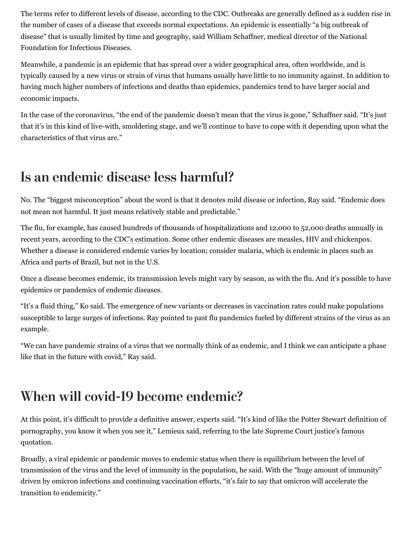The terms refer to different levels of disease, according to the CDC. Outbreaks are generally defined as a sudden rise in the number of cases of a disease that exceeds normal expectations. An epidemic is essentially "a big outbreak of disease" that is usually limited by time and geography, said [William Schaffner,](https://www.nfid.org/about-nfid/board-of-directors/william-schaffner-md/) medical director of the National Foundation for Infectious Diseases.

Meanwhile, a pandemic is an epidemic that has spread over a wider geographical area, often worldwide, and is typically caused by a new virus or strain of virus that humans usually have little to no immunity against. In addition to having much higher numbers of infections and deaths than epidemics, pandemics tend to have larger social and economic impacts.

In the case of the coronavirus, "the end of the pandemic doesn't mean that the virus is gone," Schaffner said. "It's just that it's in this kind of live-with, smoldering stage, and we'll continue to have to cope with it depending upon what the characteristics of that virus are."

### <span id="page-2-0"></span>Is an endemic disease less harmful?

No. The "biggest misconception" about the word is that it denotes mild disease or infection, Ray said. "Endemic does not mean not harmful. It just means relatively stable and predictable."

The flu, for example, has caused hundreds of thousands of hospitalizations and 12,000 to 52,000 deaths annually in recent years, according to [the CDC's estimation](https://www.cdc.gov/flu/about/burden/index.html). Some other endemic diseases are measles, HIV and chickenpox. Whether a disease is considered endemic varies by location; consider malaria, which is endemic in places such as Africa and parts of Brazil, but not in the U.S.

Once a disease becomes endemic, its transmission levels might vary by season, as with the flu. And it's possible to have epidemics or pandemics of endemic diseases.

"It's a fluid thing," Ko said. The emergence of new variants or decreases in vaccination rates could make populations susceptible to large surges of infections. Ray pointed to past flu pandemics fueled by different strains of the virus as an example.

"We can have pandemic strains of a virus that we normally think of as endemic, and I think we can anticipate a phase like that in the future with covid," Ray said.

### <span id="page-2-1"></span>When will covid-19 become endemic?

At this point, it's difficult to provide a definitive answer, experts said. "It's kind of like the Potter Stewart definition of [pornography, you know it when you see it," Lemieux said, referring to the late Supreme Court justice's famous](https://www.oyez.org/justices/potter_stewart) quotation.

Broadly, a viral epidemic or pandemic moves to endemic status when there is equilibrium between the level of transmission of the virus and the level of immunity in the population, he said. With the "huge amount of immunity" driven by omicron infections and continuing vaccination efforts, "it's fair to say that omicron will accelerate the transition to endemicity."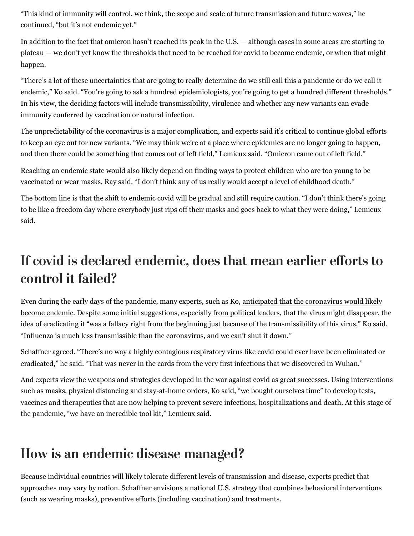"This kind of immunity will control, we think, the scope and scale of future transmission and future waves," he continued, "but it's not endemic yet."

In addition to the fact that omicron [hasn't reached its peak in the U.S.](https://www.washingtonpost.com/health/2022/01/18/omicron-national-peak-surgeon-general-fauci/?itid=lk_inline_manual_41) — although cases in some areas are starting to plateau — we don't yet know the thresholds that need to be reached for covid to become endemic, or when that might happen.

"There's a lot of these uncertainties that are going to really determine do we still call this a pandemic or do we call it endemic," Ko said. "You're going to ask a hundred epidemiologists, you're going to get a hundred different thresholds." In his view, the deciding factors will include transmissibility, virulence and whether any new variants can evade immunity conferred by vaccination or natural infection.

The unpredictability of the coronavirus is a major complication, and experts said it's critical to continue global efforts to keep an eye out for new variants. "We may think we're at a place where epidemics are no longer going to happen, and then there could be something that comes out of left field," Lemieux said. "Omicron came out of left field."

Reaching an endemic state would also likely depend on finding ways to protect children who are too young to be vaccinated or wear masks, Ray said. "I don't think any of us really would accept a level of childhood death."

The bottom line is that the shift to endemic covid will be gradual and still require caution. "I don't think there's going to be like a freedom day where everybody just rips off their masks and goes back to what they were doing," Lemieux said.

## <span id="page-3-0"></span>If covid is declared endemic, does that mean earlier efforts to control it failed?

Even during the early days of the pandemic, many experts, such as Ko, anticipated that the coronavirus would likely [become endemic. Despite some initial suggestions, especially from political leaders, that the virus might disappear, t](https://www.washingtonpost.com/health/2020/05/27/coronavirus-endemic/?itid=lk_inline_manual_49)he idea of eradicating it "was a fallacy right from the beginning just because of the transmissibility of this virus," Ko said. "Influenza is much less transmissible than the coronavirus, and we can't shut it down."

Schaffner agreed. "There's no way a highly contagious respiratory virus like covid could ever have been eliminated or eradicated," he said. "That was never in the cards from the very first infections that we discovered in Wuhan."

And experts view the weapons and strategies developed in the war against covid as great successes. Using interventions such as masks, physical distancing and stay-at-home orders, Ko said, "we bought ourselves time" to develop tests, vaccines and therapeutics that are now helping to prevent severe infections, hospitalizations and death. At this stage of the pandemic, "we have an incredible tool kit," Lemieux said.

## <span id="page-3-1"></span>How is an endemic disease managed?

Because individual countries will likely tolerate different levels of transmission and disease, experts predict that approaches may vary by nation. Schaffner envisions a national U.S. strategy that combines behavioral interventions (such as wearing masks), preventive efforts (including vaccination) and treatments.